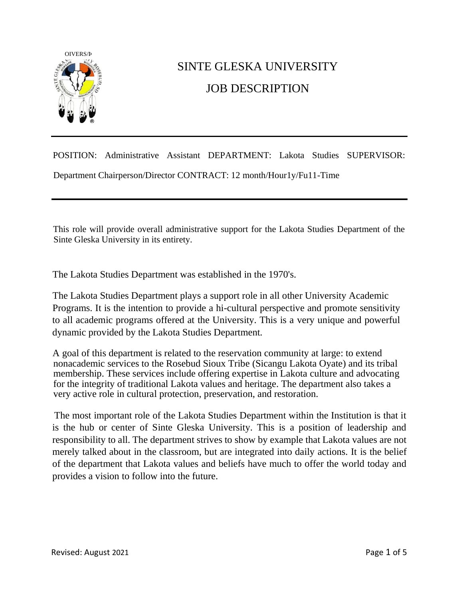

## SINTE GLESKA UNIVERSITY JOB DESCRIPTION

POSITION: Administrative Assistant DEPARTMENT: Lakota Studies SUPERVISOR: Department Chairperson/Director CONTRACT: 12 month/Hour1y/Fu11-Time

This role will provide overall administrative support for the Lakota Studies Department of the Sinte Gleska University in its entirety.

The Lakota Studies Department was established in the 1970's.

The Lakota Studies Department plays a support role in all other University Academic Programs. It is the intention to provide a hi-cultural perspective and promote sensitivity to all academic programs offered at the University. This is a very unique and powerful dynamic provided by the Lakota Studies Department.

A goal of this department is related to the reservation community at large: to extend nonacademic services to the Rosebud Sioux Tribe (Sicangu Lakota Oyate) and its tribal membership. These services include offering expertise in Lakota culture and advocating for the integrity of traditional Lakota values and heritage. The department also takes a very active role in cultural protection, preservation, and restoration.

The most important role of the Lakota Studies Department within the Institution is that it is the hub or center of Sinte Gleska University. This is a position of leadership and responsibility to all. The department strives to show by example that Lakota values are not merely talked about in the classroom, but are integrated into daily actions. It is the belief of the department that Lakota values and beliefs have much to offer the world today and provides a vision to follow into the future.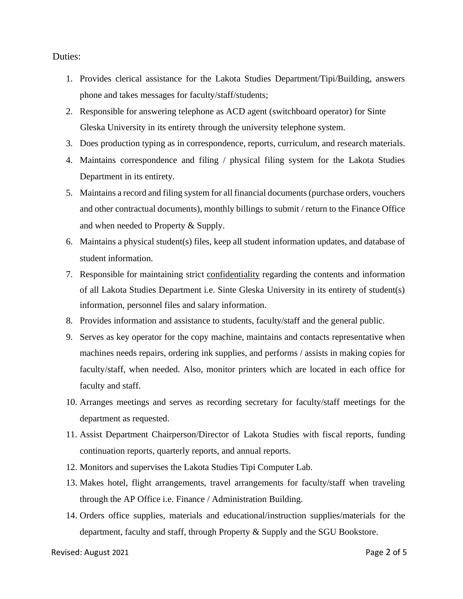Duties:

- 1. Provides clerical assistance for the Lakota Studies Department/Tipi/Building, answers phone and takes messages for faculty/staff/students;
- 2. Responsible for answering telephone as ACD agent (switchboard operator) for Sinte Gleska University in its entirety through the university telephone system.
- 3. Does production typing as in correspondence, reports, curriculum, and research materials.
- 4. Maintains correspondence and filing / physical filing system for the Lakota Studies Department in its entirety.
- 5. Maintains a record and filing system for all financial documents (purchase orders, vouchers and other contractual documents), monthly billings to submit / return to the Finance Office and when needed to Property & Supply.
- 6. Maintains a physical student(s) files, keep all student information updates, and database of student information.
- 7. Responsible for maintaining strict confidentiality regarding the contents and information of all Lakota Studies Department i.e. Sinte Gleska University in its entirety of student(s) information, personnel files and salary information.
- 8. Provides information and assistance to students, faculty/staff and the general public.
- 9. Serves as key operator for the copy machine, maintains and contacts representative when machines needs repairs, ordering ink supplies, and performs / assists in making copies for faculty/staff, when needed. Also, monitor printers which are located in each office for faculty and staff.
- 10. Arranges meetings and serves as recording secretary for faculty/staff meetings for the department as requested.
- 11. Assist Department Chairperson/Director of Lakota Studies with fiscal reports, funding continuation reports, quarterly reports, and annual reports.
- 12. Monitors and supervises the Lakota Studies Tipi Computer Lab.
- 13. Makes hotel, flight arrangements, travel arrangements for faculty/staff when traveling through the AP Office i.e. Finance / Administration Building.
- 14. Orders office supplies, materials and educational/instruction supplies/materials for the department, faculty and staff, through Property & Supply and the SGU Bookstore.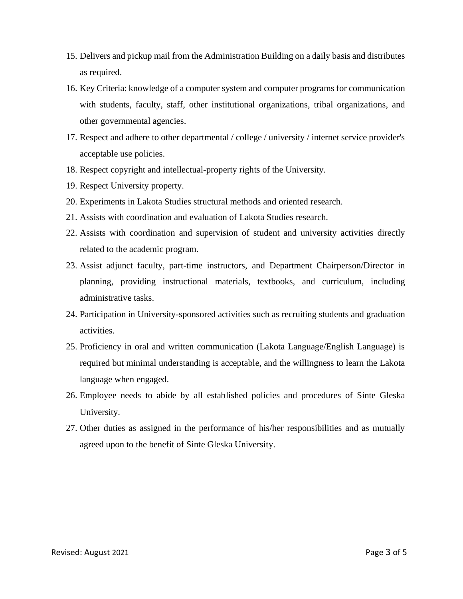- 15. Delivers and pickup mail from the Administration Building on a daily basis and distributes as required.
- 16. Key Criteria: knowledge of a computer system and computer programs for communication with students, faculty, staff, other institutional organizations, tribal organizations, and other governmental agencies.
- 17. Respect and adhere to other departmental / college / university / internet service provider's acceptable use policies.
- 18. Respect copyright and intellectual-property rights of the University.
- 19. Respect University property.
- 20. Experiments in Lakota Studies structural methods and oriented research.
- 21. Assists with coordination and evaluation of Lakota Studies research.
- 22. Assists with coordination and supervision of student and university activities directly related to the academic program.
- 23. Assist adjunct faculty, part-time instructors, and Department Chairperson/Director in planning, providing instructional materials, textbooks, and curriculum, including administrative tasks.
- 24. Participation in University-sponsored activities such as recruiting students and graduation activities.
- 25. Proficiency in oral and written communication (Lakota Language/English Language) is required but minimal understanding is acceptable, and the willingness to learn the Lakota language when engaged.
- 26. Employee needs to abide by all established policies and procedures of Sinte Gleska University.
- 27. Other duties as assigned in the performance of his/her responsibilities and as mutually agreed upon to the benefit of Sinte Gleska University.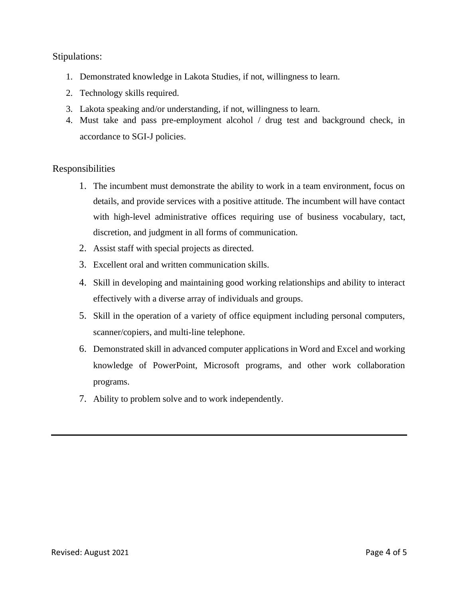## Stipulations:

- 1. Demonstrated knowledge in Lakota Studies, if not, willingness to learn.
- 2. Technology skills required.
- 3. Lakota speaking and/or understanding, if not, willingness to learn.
- 4. Must take and pass pre-employment alcohol / drug test and background check, in accordance to SGI-J policies.

## Responsibilities

- 1. The incumbent must demonstrate the ability to work in a team environment, focus on details, and provide services with a positive attitude. The incumbent will have contact with high-level administrative offices requiring use of business vocabulary, tact, discretion, and judgment in all forms of communication.
- 2. Assist staff with special projects as directed.
- 3. Excellent oral and written communication skills.
- 4. Skill in developing and maintaining good working relationships and ability to interact effectively with a diverse array of individuals and groups.
- 5. Skill in the operation of a variety of office equipment including personal computers, scanner/copiers, and multi-line telephone.
- 6. Demonstrated skill in advanced computer applications in Word and Excel and working knowledge of PowerPoint, Microsoft programs, and other work collaboration programs.
- 7. Ability to problem solve and to work independently.